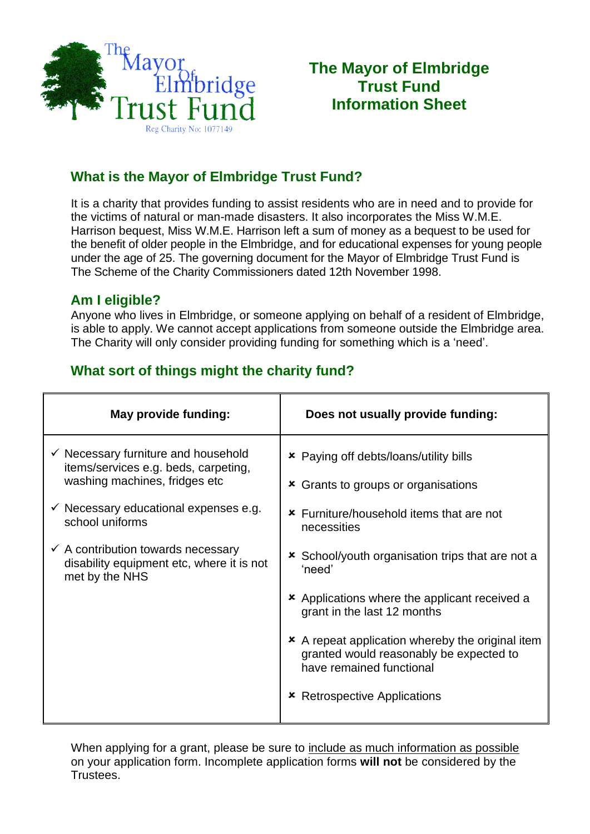

# **The Mayor of Elmbridge Trust Fund Information Sheet**

# **What is the Mayor of Elmbridge Trust Fund?**

 Harrison bequest, Miss W.M.E. Harrison left a sum of money as a bequest to be used for the benefit of older people in the Elmbridge, and for educational expenses for young people under the age of 25. The governing document for the Mayor of Elmbridge Trust Fund is The Scheme of the Charity Commissioners dated 12th November 1998. It is a charity that provides funding to assist residents who are in need and to provide for the victims of natural or man-made disasters. It also incorporates the Miss W.M.E.

## **Am I eligible?**

Anyone who lives in Elmbridge, or someone applying on behalf of a resident of Elmbridge, is able to apply. We cannot accept applications from someone outside the Elmbridge area. The Charity will only consider providing funding for something which is a 'need'.

## **What sort of things might the charity fund?**

| May provide funding:                                                                                                                                                                           | Does not usually provide funding:                                                                                                                             |
|------------------------------------------------------------------------------------------------------------------------------------------------------------------------------------------------|---------------------------------------------------------------------------------------------------------------------------------------------------------------|
| $\checkmark$ Necessary furniture and household<br>items/services e.g. beds, carpeting,<br>washing machines, fridges etc<br>$\checkmark$ Necessary educational expenses e.g.<br>school uniforms | <b>*</b> Paying off debts/loans/utility bills<br><b>*</b> Grants to groups or organisations<br><b>*</b> Furniture/household items that are not<br>necessities |
| $\checkmark$ A contribution towards necessary<br>disability equipment etc, where it is not<br>met by the NHS                                                                                   | <b>*</b> School/youth organisation trips that are not a<br>'need'                                                                                             |
|                                                                                                                                                                                                | <b>*</b> Applications where the applicant received a<br>grant in the last 12 months                                                                           |
|                                                                                                                                                                                                | * A repeat application whereby the original item<br>granted would reasonably be expected to<br>have remained functional                                       |
|                                                                                                                                                                                                | <b>Retrospective Applications</b>                                                                                                                             |

When applying for a grant, please be sure to include as much information as possible on your application form. Incomplete application forms **will not** be considered by the Trustees.